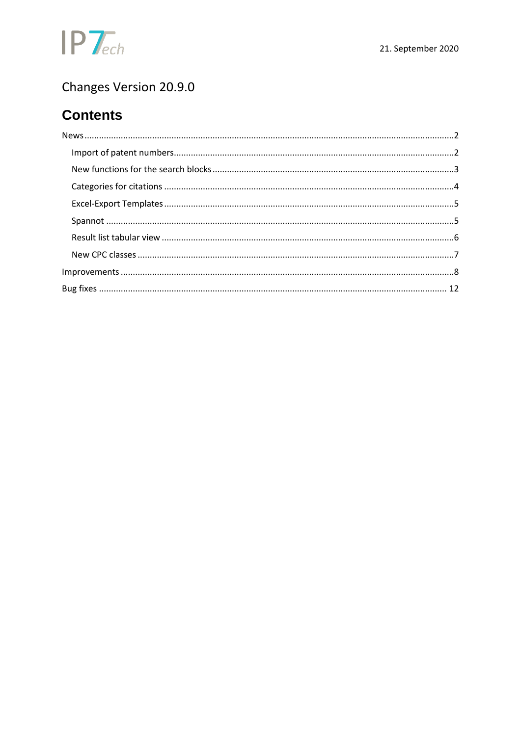

# Changes Version 20.9.0

# **Contents**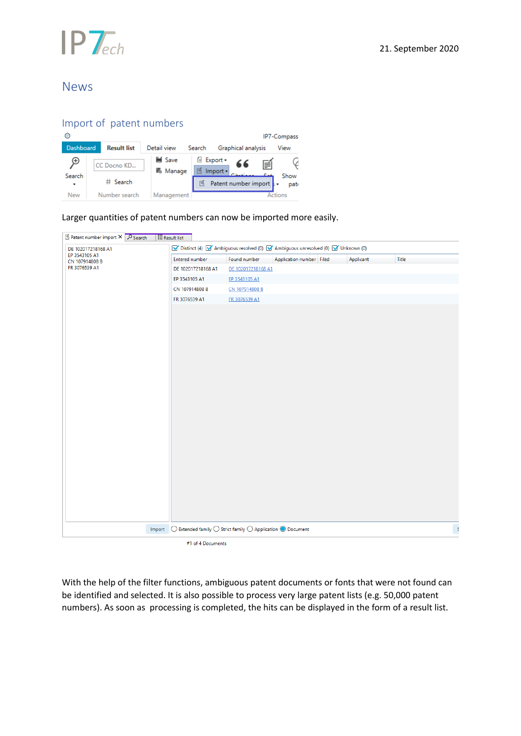

## <span id="page-1-0"></span>News

## <span id="page-1-1"></span>Import of patent numbers

|                  |                         |                    |          |                                                        |                            |   | IP7-Compass       |
|------------------|-------------------------|--------------------|----------|--------------------------------------------------------|----------------------------|---|-------------------|
| <b>Dashboard</b> | <b>Result list</b>      | Detail view        | Search   |                                                        | Graphical analysis         |   | View              |
| Θ<br>Search      | CC Docno KD<br># Search | ■ Save<br>= Manage | 嗜<br>76. | <b><i><u>B</u></i></b> Export <del>▼</del><br>Import - | 66<br>Patent number import | 員 | V<br>Show<br>pate |
| <b>New</b>       | Number search           | Management         |          |                                                        |                            |   | <b>Actions</b>    |

Larger quantities of patent numbers can now be imported more easily.

| Patent number import X P Search | $E$ Result list                                                                                       |                    |                          |           |          |
|---------------------------------|-------------------------------------------------------------------------------------------------------|--------------------|--------------------------|-----------|----------|
| DE 102017218168 A1              | Distinct (4) V Ambiguous resolved (0) V Ambiguous unresolved (0) V Unknown (0)                        |                    |                          |           |          |
| EP 3543105 A1<br>CN 107914808 B | Entered number                                                                                        | Found number       | Application number Filed | Applicant | Title    |
| FR 3076539 A1                   | DE 102017218168 A1                                                                                    | DE 102017218168 A1 |                          |           |          |
|                                 | EP 3543105 A1                                                                                         | EP 3543105 A1      |                          |           |          |
|                                 | CN 107914808 B                                                                                        | CN 107914808 B     |                          |           |          |
|                                 | FR 3076539 A1                                                                                         | FR 3076539 A1      |                          |           |          |
|                                 |                                                                                                       |                    |                          |           |          |
|                                 |                                                                                                       |                    |                          |           |          |
|                                 | Import $\bigcirc$ Extended family $\bigcirc$ Strict family $\bigcirc$ Application $\bigcirc$ Document |                    |                          |           | <b>S</b> |
|                                 | #1 of 4 Documents                                                                                     |                    |                          |           |          |

With the help of the filter functions, ambiguous patent documents or fonts that were not found can be identified and selected. It is also possible to process very large patent lists (e.g. 50,000 patent numbers). As soon as processing is completed, the hits can be displayed in the form of a result list.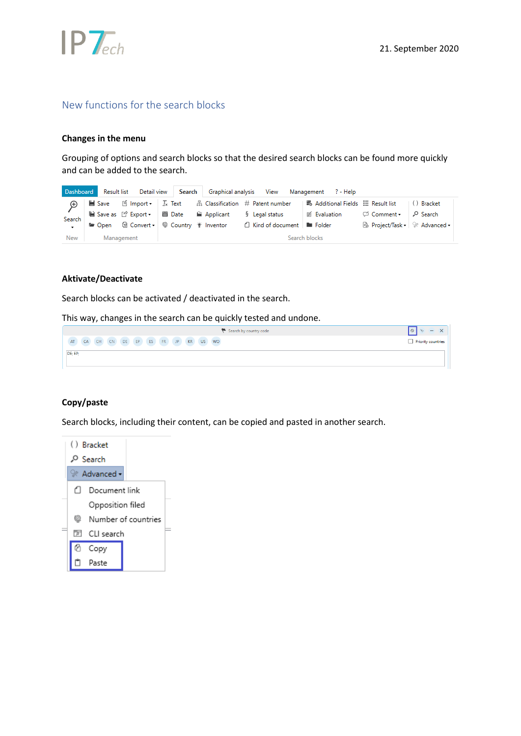

## <span id="page-2-0"></span>New functions for the search blocks

#### **Changes in the menu**

Grouping of options and search blocks so that the desired search blocks can be found more quickly and can be added to the search.

| Dashboard  |            |  |  |                                                                           | Result list Detail view   Search   Graphical analysis View Management ? - Help                                       |  |                                 |  |
|------------|------------|--|--|---------------------------------------------------------------------------|----------------------------------------------------------------------------------------------------------------------|--|---------------------------------|--|
|            |            |  |  |                                                                           | ■ Save   19 Import +   Ix Text # # Classification # Patent number   ■ Additional Fields     Result list   () Bracket |  |                                 |  |
| Search     |            |  |  | ■ Save as [ <sup>*</sup> Export •   ■ Date   ■ Applicant   § Legal status |                                                                                                                      |  |                                 |  |
|            |            |  |  |                                                                           | La Open La Convert v © Country inventor La Kind of document La Folder                                                |  | B Project/Task +   * Advanced + |  |
| <b>New</b> | Management |  |  |                                                                           | Search blocks                                                                                                        |  |                                 |  |

### **Aktivate/Deactivate**

Search blocks can be activated / deactivated in the search.

This way, changes in the search can be quickly tested and undone.



### **Copy/paste**

Search blocks, including their content, can be copied and pasted in another search.

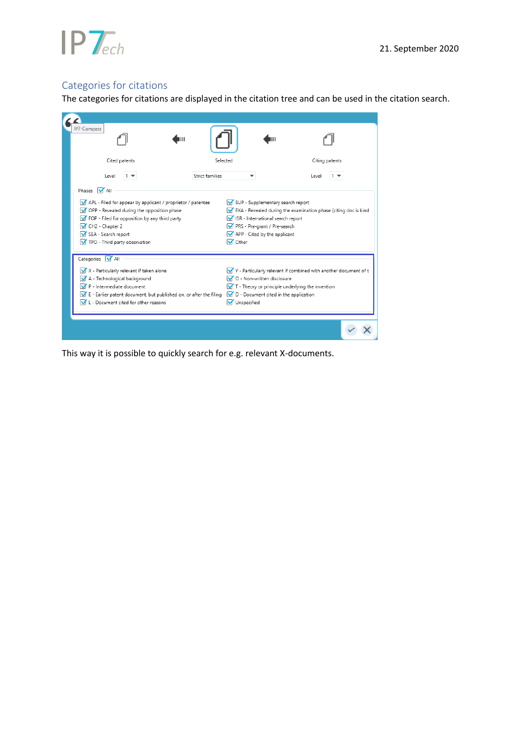

# <span id="page-3-0"></span>Categories for citations

The categories for citations are displayed in the citation tree and can be used in the citation search.

| <b>IP7-Compass</b>                                                                          |                 |                      |                                                              |                                                                             |  |
|---------------------------------------------------------------------------------------------|-----------------|----------------------|--------------------------------------------------------------|-----------------------------------------------------------------------------|--|
| Cited patents                                                                               | Selected        |                      |                                                              | Citing patents                                                              |  |
| Level<br>$1 \times$                                                                         | Strict families |                      |                                                              | Level                                                                       |  |
| Phases MAII<br>APL - Filed for appear by applicant / proprietor / patentee                  |                 |                      | SUP - Supplementary search report                            |                                                                             |  |
| OPP - Revealed during the opposition phase<br>FOP - Filed for opposition by any third party |                 |                      | ISR - International search report                            | $\sqrt{}$ EXA - Revealed during the examination phase (citing doc is kind   |  |
| CH <sub>2</sub> - Chapter 2<br>SEA - Search report                                          |                 |                      | PRS - Pre-grant / Pre-search<br>APP - Cited by the applicant |                                                                             |  |
| TPO - Third party observation                                                               |                 | Other                |                                                              |                                                                             |  |
| Categories V All                                                                            |                 |                      |                                                              |                                                                             |  |
| X - Particularly relevant if taken alone                                                    |                 |                      | O - Non-written disclosure                                   | $\sqrt{Y}$ Y - Particularly relevant if combined with another document of t |  |
| A - Technological background<br>P - Intermediate document                                   |                 |                      |                                                              | $\blacksquare$ T - Theory or principle underlying the invention             |  |
| $\sqrt{\phantom{a}}$ E - Earlier patent document, but published on, or after the filing     |                 |                      | D - Document cited in the application                        |                                                                             |  |
| L - Document cited for other reasons                                                        |                 | <b>V</b> Unspecified |                                                              |                                                                             |  |
|                                                                                             |                 |                      |                                                              |                                                                             |  |
|                                                                                             |                 |                      |                                                              |                                                                             |  |

This way it is possible to quickly search for e.g. relevant X-documents.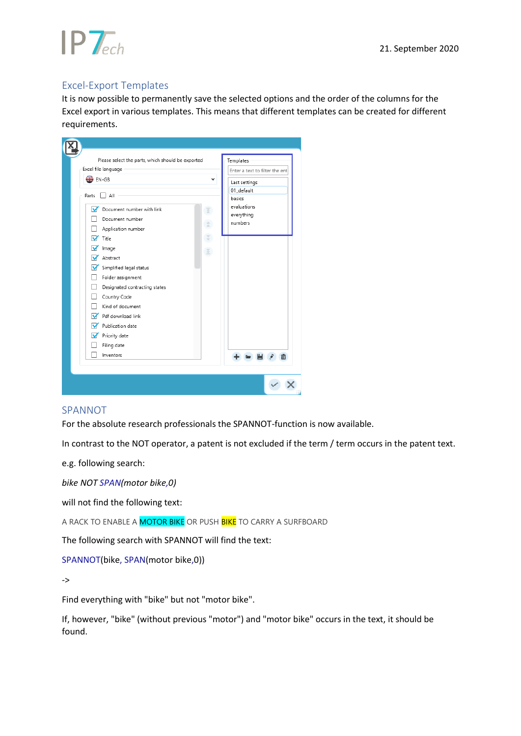

## <span id="page-4-0"></span>Excel-Export Templates

It is now possible to permanently save the selected options and the order of the columns for the Excel export in various templates. This means that different templates can be created for different requirements.



### <span id="page-4-1"></span>**SPANNOT**

For the absolute research professionals the SPANNOT-function is now available.

In contrast to the NOT operator, a patent is not excluded if the term / term occurs in the patent text.

e.g. following search:

*bike NOT SPAN(motor bike,0)*

will not find the following text:

A RACK TO ENABLE A MOTOR BIKE OR PUSH BIKE TO CARRY A SURFBOARD

The following search with SPANNOT will find the text:

SPANNOT(bike, SPAN(motor bike,0))

->

Find everything with "bike" but not "motor bike".

If, however, "bike" (without previous "motor") and "motor bike" occurs in the text, it should be found.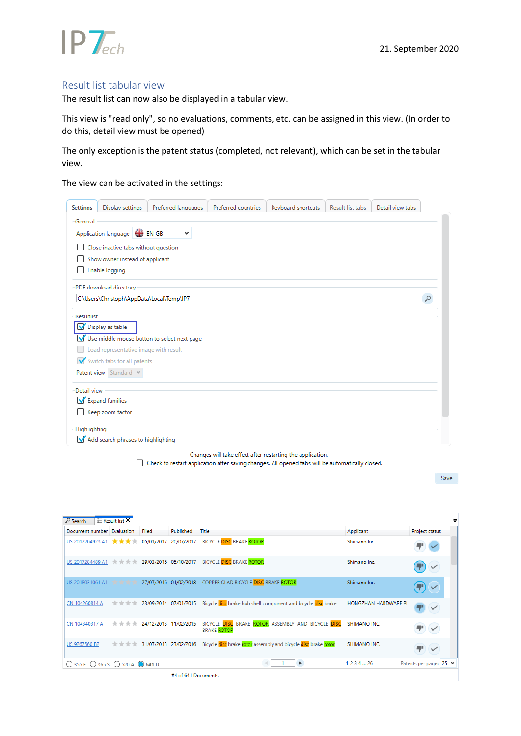

### <span id="page-5-0"></span>Result list tabular view

The result list can now also be displayed in a tabular view.

This view is "read only", so no evaluations, comments, etc. can be assigned in this view. (In order to do this, detail view must be opened)

The only exception is the patent status (completed, not relevant), which can be set in the tabular view.

The view can be activated in the settings:

| <b>Settings</b>   | Display settings                          | Preferred languages                         | Preferred countries                                        | Keyboard shortcuts | Result list tabs | Detail view tabs |   |
|-------------------|-------------------------------------------|---------------------------------------------|------------------------------------------------------------|--------------------|------------------|------------------|---|
| General           |                                           |                                             |                                                            |                    |                  |                  |   |
|                   | Application language <b>CO</b> EN-GB      |                                             |                                                            |                    |                  |                  |   |
|                   |                                           |                                             |                                                            |                    |                  |                  |   |
|                   | Close inactive tabs without question      |                                             |                                                            |                    |                  |                  |   |
|                   | Show owner instead of applicant           |                                             |                                                            |                    |                  |                  |   |
|                   | Enable logging                            |                                             |                                                            |                    |                  |                  |   |
|                   | PDF download directory                    |                                             |                                                            |                    |                  |                  |   |
|                   | C:\Users\Christoph\AppData\Local\Temp\IP7 |                                             |                                                            |                    |                  |                  | Q |
|                   |                                           |                                             |                                                            |                    |                  |                  |   |
| <b>Resultlist</b> |                                           |                                             |                                                            |                    |                  |                  |   |
|                   | Display as table                          |                                             |                                                            |                    |                  |                  |   |
|                   |                                           | Use middle mouse button to select next page |                                                            |                    |                  |                  |   |
|                   | Load representative image with result     |                                             |                                                            |                    |                  |                  |   |
|                   | Switch tabs for all patents               |                                             |                                                            |                    |                  |                  |   |
|                   | Patent view Standard V                    |                                             |                                                            |                    |                  |                  |   |
| Detail view       |                                           |                                             |                                                            |                    |                  |                  |   |
|                   | Expand families                           |                                             |                                                            |                    |                  |                  |   |
|                   | Keep zoom factor                          |                                             |                                                            |                    |                  |                  |   |
|                   |                                           |                                             |                                                            |                    |                  |                  |   |
| Highlighting      | Add search phrases to highlighting        |                                             |                                                            |                    |                  |                  |   |
|                   |                                           |                                             |                                                            |                    |                  |                  |   |
|                   |                                           |                                             | Changes will take effect after restarting the application. |                    |                  |                  |   |

Check to restart application after saving changes. All opened tabs will be automatically closed.

Save

| Document number Evaluation      |      | Filed                                                                             | Published             | Title                                                                    | Applicant            | Project status         |
|---------------------------------|------|-----------------------------------------------------------------------------------|-----------------------|--------------------------------------------------------------------------|----------------------|------------------------|
| US 2017204923 A1 $\star$ ★ ★ ★  |      |                                                                                   | 05/01/2017 20/07/2017 | <b>BICYCLE DISC BRAKE ROTOR</b>                                          | Shimano Inc.         |                        |
| US 2017284489 A1 * * * * *      |      |                                                                                   |                       | 29/03/2016  05/10/2017  BICYCLE DISC BRAKE ROTOR                         | Shimano Inc.         |                        |
| US 2018031061 A1                | **** |                                                                                   |                       | 27/07/2016 01/02/2018 COPPER CLAD BICYCLE DISC BRAKE ROTOR               | Shimano Inc.         |                        |
| CN 104260814 A                  | **** |                                                                                   | 23/09/2014 07/01/2015 | Bicycle disc brake hub shell component and bicycle disc brake            | HONGZHAN HARDWARE PL |                        |
| CN 104340317 A                  | **** |                                                                                   | 24/12/2013 11/02/2015 | BICYCLE DISC BRAKE ROTOR ASSEMBLY AND BICYCLE DISC<br><b>BRAKE ROTOR</b> | SHIMANO INC.         |                        |
| US 9267560 B2                   |      | $\frac{1}{10}$ $\frac{1}{10}$ $\frac{1}{10}$ $\frac{1}{10}$ 31/07/2013 23/02/2016 |                       | Bicycle disc brake rotor assembly and bicycle disc brake rotor           | SHIMANO INC.         |                        |
| ○ 355 E ○ 365 S ○ 520 A ● 641 D |      |                                                                                   |                       | $\sim$ (<br>►                                                            | 1 2 3 4  26          | Patents per page: 25 ₩ |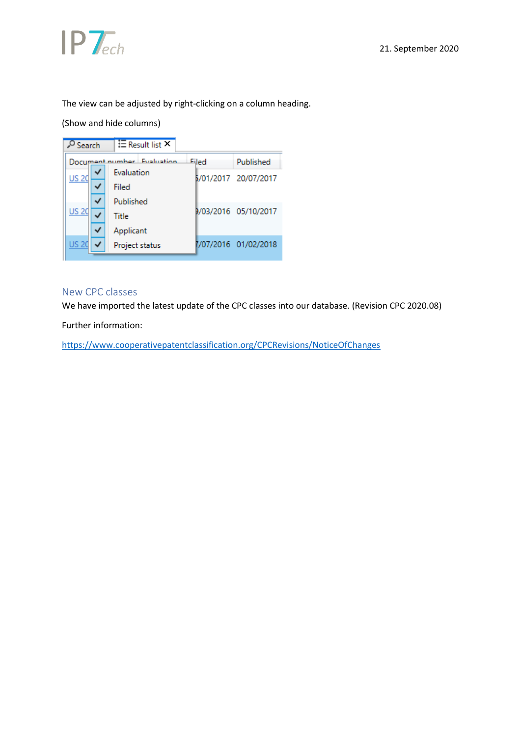

The view can be adjusted by right-clicking on a column heading.

## (Show and hide columns)



## <span id="page-6-0"></span>New CPC classes

We have imported the latest update of the CPC classes into our database. (Revision CPC 2020.08)

Further information:

<https://www.cooperativepatentclassification.org/CPCRevisions/NoticeOfChanges>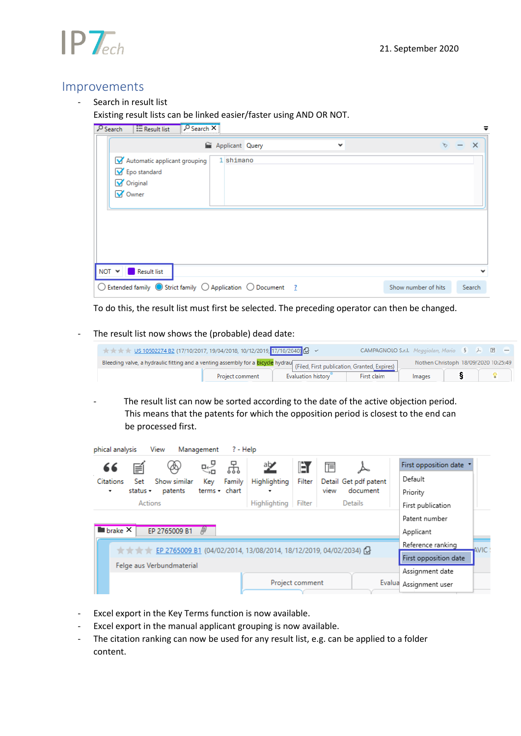

## <span id="page-7-0"></span>Improvements

Search in result list

## Existing result lists can be linked easier/faster using AND OR NOT.

| O Search | O Search X<br>$E$ Result list                                                                                           | =        |  |
|----------|-------------------------------------------------------------------------------------------------------------------------|----------|--|
|          | <b>M</b> Applicant Query<br>$\checkmark$                                                                                | $\times$ |  |
|          | 1 shimano<br>Automatic applicant grouping                                                                               |          |  |
|          | Epo standard<br><b>V</b> Original                                                                                       |          |  |
|          | V Owner                                                                                                                 |          |  |
|          |                                                                                                                         |          |  |
|          |                                                                                                                         |          |  |
|          |                                                                                                                         |          |  |
|          |                                                                                                                         |          |  |
|          | $NOT \vee   $<br>Result list                                                                                            | v        |  |
|          | $\bigcirc$ Extended family $\bigcirc$ Strict family $\bigcirc$ Application $\bigcirc$ Document 2<br>Show number of hits | Search   |  |

To do this, the result list must first be selected. The preceding operator can then be changed.

#### - The result list now shows the (probable) dead date:

| $\star$ $\star$ $\star$ $\star$ US 10502274 B2 (17/10/2017, 19/04/2018, 10/12/2019, 17/10/2040) $Q \sim$                            |                 |                    | CAMPAGNOLO S.r.l. Meggiolan, Mario § A □ 一 |                                      |  |  |
|-------------------------------------------------------------------------------------------------------------------------------------|-----------------|--------------------|--------------------------------------------|--------------------------------------|--|--|
| Bleeding valve, a hydraulic fitting and a venting assembly for a <b>bicycle</b> hydrau (Filed, First publication, Granted, Expires) |                 |                    |                                            | Nothen Christoph 18/09/2020 10:25:49 |  |  |
|                                                                                                                                     | Project comment | Evaluation history | First claim                                | Images                               |  |  |

- The result list can now be sorted according to the date of the active objection period. This means that the patents for which the opposition period is closest to the end can be processed first.

| phical analysis               | View                      | Management    | ? - Help                                                                                                 |                 |                         |          |                         |      |
|-------------------------------|---------------------------|---------------|----------------------------------------------------------------------------------------------------------|-----------------|-------------------------|----------|-------------------------|------|
| 66<br>≢                       |                           | 군<br>ਖ਼       | ab∕z                                                                                                     | Èſ              | $\overline{\mathbb{F}}$ |          | First opposition date * |      |
| Set<br>Citations              | Show similar              | Family<br>Key | Highlighting                                                                                             | Filter          | Detail Get pdf patent   |          | Default                 |      |
| status +<br>۰.                | patents                   | terms • chart | ۰                                                                                                        |                 | view                    | document | Priority                |      |
|                               | Actions                   |               | Highlighting                                                                                             | Filter          | <b>Details</b>          |          | First publication       |      |
|                               |                           |               |                                                                                                          |                 |                         |          | Patent number           |      |
| $\blacksquare$ brake $\times$ | EP 2765009 B1             | /II)          |                                                                                                          |                 |                         |          | Applicant               |      |
|                               |                           |               | $\star$ $\star$ $\star$ $\star$ EP 2765009 B1 (04/02/2014, 13/08/2014, 18/12/2019, 04/02/2034) ( $\cdot$ |                 |                         |          | Reference ranking       | WIC. |
|                               |                           |               |                                                                                                          |                 |                         |          | First opposition date   |      |
|                               | Felge aus Verbundmaterial |               |                                                                                                          |                 |                         |          | Assignment date         |      |
|                               |                           |               |                                                                                                          | Project comment |                         |          | Evalua Assignment user  |      |

- Excel export in the Key Terms function is now available.
- Excel export in the manual applicant grouping is now available.
- The citation ranking can now be used for any result list, e.g. can be applied to a folder content.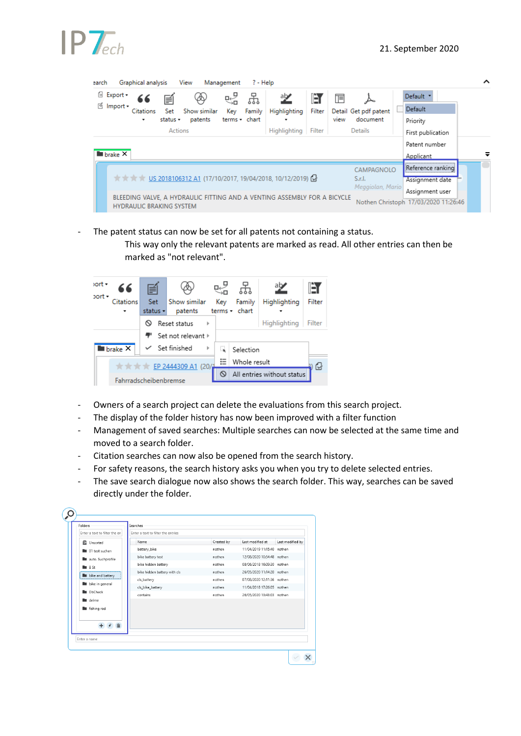| earch |                               | Graphical analysis              |          | View         | Management    | $? - Help$ |                                                                                                |        |      |                       |                                      | ㅅ |
|-------|-------------------------------|---------------------------------|----------|--------------|---------------|------------|------------------------------------------------------------------------------------------------|--------|------|-----------------------|--------------------------------------|---|
|       | <sup>6</sup> Export -         | 66                              | Ħ        | $\bigotimes$ | 냃             | 꿈          | 空                                                                                              | IÈı    | Ī    |                       | Default *                            |   |
|       | <sup>16</sup> Import ▼        | <b>Citations</b>                | Set      | Show similar | Key           | Family     | Highlighting                                                                                   | Filter |      | Detail Get pdf patent | Default                              |   |
|       |                               | ۰                               | status - | patents      | terms - chart |            |                                                                                                |        | view | document              | Priority                             |   |
|       |                               |                                 | Actions  |              |               |            | Highlighting                                                                                   | Filter |      | <b>Details</b>        | First publication                    |   |
|       |                               |                                 |          |              |               |            |                                                                                                |        |      |                       | Patent number                        |   |
|       | $\blacksquare$ brake $\times$ |                                 |          |              |               |            |                                                                                                |        |      |                       | Applicant                            | ≂ |
|       |                               |                                 |          |              |               |            |                                                                                                |        |      | CAMPAGNOLO            | <br>Reference ranking                |   |
|       |                               |                                 |          |              |               |            | $\star$ $\star$ $\star$ $\star$ US 2018106312 A1 (17/10/2017, 19/04/2018, 10/12/2019) $\Omega$ |        |      | S.r.l.                | Assignment date                      |   |
|       |                               |                                 |          |              |               |            |                                                                                                |        |      | Meggiolan, Mario      | Assignment user                      |   |
|       |                               | <b>HYDRAULIC BRAKING SYSTEM</b> |          |              |               |            | BLEEDING VALVE, A HYDRAULIC FITTING AND A VENTING ASSEMBLY FOR A BICYCLE                       |        |      |                       | Nothen Christoph 17/03/2020 11:26:46 |   |

- The patent status can now be set for all patents not containing a status.

This way only the relevant patents are marked as read. All other entries can then be marked as "not relevant".



- Owners of a search project can delete the evaluations from this search project.
- The display of the folder history has now been improved with a filter function
- Management of saved searches: Multiple searches can now be selected at the same time and moved to a search folder.
- Citation searches can now also be opened from the search history.
- For safety reasons, the search history asks you when you try to delete selected entries.
- The save search dialogue now also shows the search folder. This way, searches can be saved directly under the folder.

| Enter a text to filter the en | Enter a text to filter the entries |            |                            |                  |
|-------------------------------|------------------------------------|------------|----------------------------|------------------|
|                               |                                    |            |                            |                  |
| ■ Unsorted                    | Name                               | Created by | Last modified at           | Last modified by |
| <b>D</b> 01 test suchen       | battery bike                       | nothen     | 11/04/2019 11:15:40 nothen |                  |
| uto. Suchprofile              | bike battery test                  | nothen     | 12/08/2020 10:54:48 nothen |                  |
| RSt                           | bike hidden battery                | nothen     | 08/06/2018 16:09:30 nothen |                  |
| <b>bike</b> and battery       | bike hidden battery with cls       | nothen     | 26/05/2020 11:14:20 nothen |                  |
|                               | cls_battery                        | nothen     | 07/08/2020 12:11:36 nothen |                  |
| <b>bike</b> in general        | cls_bike_battery                   | nothen     | 11/04/2018 17:26:05 nothen |                  |
| <b>DhCheck</b>                | contains                           | nothen     | 26/05/2020 13:43:03 nothen |                  |
| <b>E</b> delme                |                                    |            |                            |                  |
| <b>In</b> fishing rod         |                                    |            |                            |                  |
|                               |                                    |            |                            |                  |
| 亩                             |                                    |            |                            |                  |
|                               |                                    |            |                            |                  |
| Enter a name                  |                                    |            |                            |                  |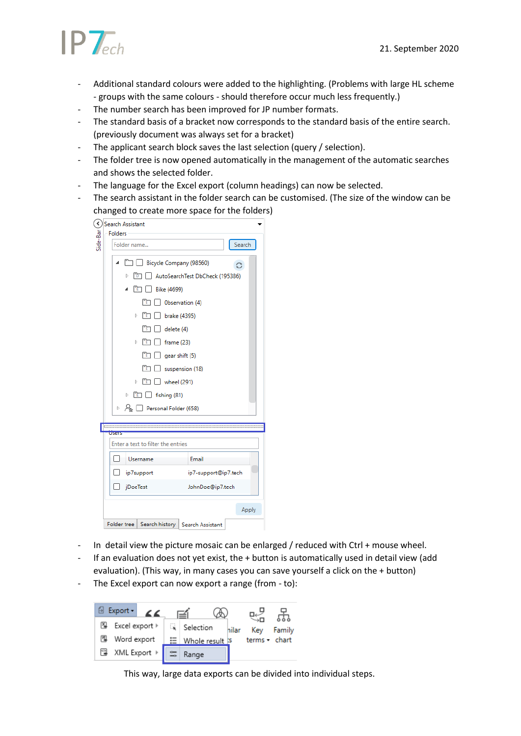

- Additional standard colours were added to the highlighting. (Problems with large HL scheme - groups with the same colours - should therefore occur much less frequently.)
- The number search has been improved for JP number formats.
- The standard basis of a bracket now corresponds to the standard basis of the entire search. (previously document was always set for a bracket)
- The applicant search block saves the last selection (query / selection).
- The folder tree is now opened automatically in the management of the automatic searches and shows the selected folder.
- The language for the Excel export (column headings) can now be selected.
- The search assistant in the folder search can be customised. (The size of the window can be changed to create more space for the folders)

| ∢                                  | Search Assistant                                                                                                                                                                                                                    |        |  |  |  |  |  |
|------------------------------------|-------------------------------------------------------------------------------------------------------------------------------------------------------------------------------------------------------------------------------------|--------|--|--|--|--|--|
|                                    | <b>Folders</b>                                                                                                                                                                                                                      |        |  |  |  |  |  |
| Side-Bar                           | Folder name                                                                                                                                                                                                                         | Search |  |  |  |  |  |
|                                    | Bicycle Company (98560)<br>◢                                                                                                                                                                                                        |        |  |  |  |  |  |
|                                    | AutoSearchTest DbCheck (195386)<br>Þ<br>Bike (4699)<br>FΕT<br>Observation (4)                                                                                                                                                       |        |  |  |  |  |  |
|                                    |                                                                                                                                                                                                                                     |        |  |  |  |  |  |
|                                    |                                                                                                                                                                                                                                     |        |  |  |  |  |  |
|                                    | brake (4395)<br>Þ                                                                                                                                                                                                                   |        |  |  |  |  |  |
|                                    | Гsп<br>delete (4)<br>Þ<br>rτ<br>frame (23)<br>rn<br>gear shift (5)<br>suspension (18)<br>wheel (291)<br>Þ<br>$\boxed{\phantom{1}1}$ $\boxed{\phantom{1}1}$ fishing (81)<br>Þ.<br>$\mathbb{R}^{\mathbb{Z}}$<br>Personal Folder (658) |        |  |  |  |  |  |
|                                    |                                                                                                                                                                                                                                     |        |  |  |  |  |  |
|                                    |                                                                                                                                                                                                                                     |        |  |  |  |  |  |
|                                    |                                                                                                                                                                                                                                     |        |  |  |  |  |  |
|                                    |                                                                                                                                                                                                                                     |        |  |  |  |  |  |
|                                    |                                                                                                                                                                                                                                     |        |  |  |  |  |  |
|                                    |                                                                                                                                                                                                                                     |        |  |  |  |  |  |
|                                    |                                                                                                                                                                                                                                     |        |  |  |  |  |  |
|                                    | <b>USERS</b>                                                                                                                                                                                                                        |        |  |  |  |  |  |
| Enter a text to filter the entries |                                                                                                                                                                                                                                     |        |  |  |  |  |  |
|                                    |                                                                                                                                                                                                                                     |        |  |  |  |  |  |
|                                    | Email<br>Username<br>ip7-support@ip7.tech<br>ip7support                                                                                                                                                                             |        |  |  |  |  |  |
|                                    |                                                                                                                                                                                                                                     |        |  |  |  |  |  |
|                                    | jDoeTest<br>JohnDoe@ip7.tech                                                                                                                                                                                                        |        |  |  |  |  |  |
|                                    |                                                                                                                                                                                                                                     | Apply  |  |  |  |  |  |
|                                    | Search history   Search Assistant<br>Folder tree                                                                                                                                                                                    |        |  |  |  |  |  |

- In detail view the picture mosaic can be enlarged / reduced with Ctrl + mouse wheel.
- If an evaluation does not yet exist, the + button is automatically used in detail view (add evaluation). (This way, in many cases you can save yourself a click on the + button)
- The Excel export can now export a range (from to):

| $Export -$<br>$\epsilon$ | ≅া              |       |                     |        |
|--------------------------|-----------------|-------|---------------------|--------|
| PQ.<br>Excel export ⊧    | Selection       | hilar | Key                 | Family |
| 囤<br>Word export         | Whole result is |       | terms $\star$ chart |        |
| XML Export ▶<br>옎        | Range           |       |                     |        |

This way, large data exports can be divided into individual steps.